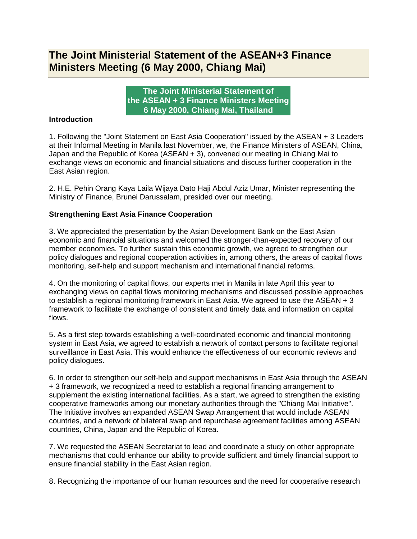## **The Joint Ministerial Statement of the ASEAN+3 Finance Ministers Meeting (6 May 2000, Chiang Mai)**

**The Joint Ministerial Statement of the ASEAN + 3 Finance Ministers Meeting 6 May 2000, Chiang Mai, Thailand**

## **Introduction**

1. Following the "Joint Statement on East Asia Cooperation" issued by the ASEAN + 3 Leaders at their Informal Meeting in Manila last November, we, the Finance Ministers of ASEAN, China, Japan and the Republic of Korea (ASEAN + 3), convened our meeting in Chiang Mai to exchange views on economic and financial situations and discuss further cooperation in the East Asian region.

2. H.E. Pehin Orang Kaya Laila Wijaya Dato Haji Abdul Aziz Umar, Minister representing the Ministry of Finance, Brunei Darussalam, presided over our meeting.

## **Strengthening East Asia Finance Cooperation**

3. We appreciated the presentation by the Asian Development Bank on the East Asian economic and financial situations and welcomed the stronger-than-expected recovery of our member economies. To further sustain this economic growth, we agreed to strengthen our policy dialogues and regional cooperation activities in, among others, the areas of capital flows monitoring, self-help and support mechanism and international financial reforms.

4. On the monitoring of capital flows, our experts met in Manila in late April this year to exchanging views on capital flows monitoring mechanisms and discussed possible approaches to establish a regional monitoring framework in East Asia. We agreed to use the ASEAN + 3 framework to facilitate the exchange of consistent and timely data and information on capital flows.

5. As a first step towards establishing a well-coordinated economic and financial monitoring system in East Asia, we agreed to establish a network of contact persons to facilitate regional surveillance in East Asia. This would enhance the effectiveness of our economic reviews and policy dialogues.

6. In order to strengthen our self-help and support mechanisms in East Asia through the ASEAN + 3 framework, we recognized a need to establish a regional financing arrangement to supplement the existing international facilities. As a start, we agreed to strengthen the existing cooperative frameworks among our monetary authorities through the "Chiang Mai Initiative". The Initiative involves an expanded ASEAN Swap Arrangement that would include ASEAN countries, and a network of bilateral swap and repurchase agreement facilities among ASEAN countries, China, Japan and the Republic of Korea.

7. We requested the ASEAN Secretariat to lead and coordinate a study on other appropriate mechanisms that could enhance our ability to provide sufficient and timely financial support to ensure financial stability in the East Asian region.

8. Recognizing the importance of our human resources and the need for cooperative research